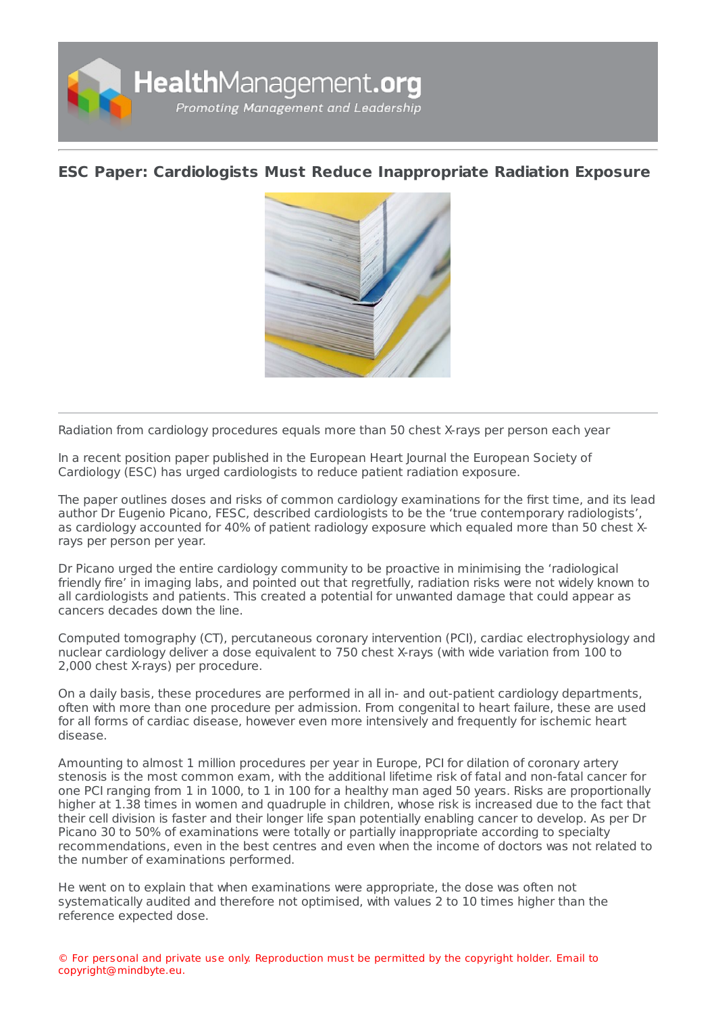

## **ESC Paper: Cardiologists Must Reduce [Inappropriate](https://healthmanagement.org/s/esc-paper-cardiologists-must-reduce-inappropriate-radiation-exposure) Radiation Exposure**



Radiation from cardiology procedures equals more than 50 chest X-rays per person each year

In a recent position paper published in the European Heart Journal the European Society of Cardiology (ESC) has urged cardiologists to reduce patient radiation exposure.

The paper outlines doses and risks of common cardiology examinations for the first time, and its lead author Dr Eugenio Picano, FESC, described cardiologists to be the 'true contemporary radiologists', as cardiology accounted for 40% of patient radiology exposure which equaled more than 50 chest Xrays per person per year.

Dr Picano urged the entire cardiology community to be proactive in minimising the 'radiological friendly fire' in imaging labs, and pointed out that regretfully, radiation risks were not widely known to all cardiologists and patients. This created a potential for unwanted damage that could appear as cancers decades down the line.

Computed tomography (CT), percutaneous coronary intervention (PCI), cardiac electrophysiology and nuclear cardiology deliver a dose equivalent to 750 chest X-rays (with wide variation from 100 to 2,000 chest X-rays) per procedure.

On a daily basis, these procedures are performed in all in- and out-patient cardiology departments, often with more than one procedure per admission. From congenital to heart failure, these are used for all forms of cardiac disease, however even more intensively and frequently for ischemic heart disease.

Amounting to almost 1 million procedures per year in Europe, PCI for dilation of coronary artery stenosis is the most common exam, with the additional lifetime risk of fatal and non-fatal cancer for one PCI ranging from 1 in 1000, to 1 in 100 for a healthy man aged 50 years. Risks are proportionally higher at 1.38 times in women and quadruple in children, whose risk is increased due to the fact that their cell division is faster and their longer life span potentially enabling cancer to develop. As per Dr Picano 30 to 50% of examinations were totally or partially inappropriate according to specialty recommendations, even in the best centres and even when the income of doctors was not related to the number of examinations performed.

He went on to explain that when examinations were appropriate, the dose was often not systematically audited and therefore not optimised, with values 2 to 10 times higher than the reference expected dose.

© For personal and private use only. Reproduction must be permitted by the copyright holder. Email to copyright@mindbyte.eu.